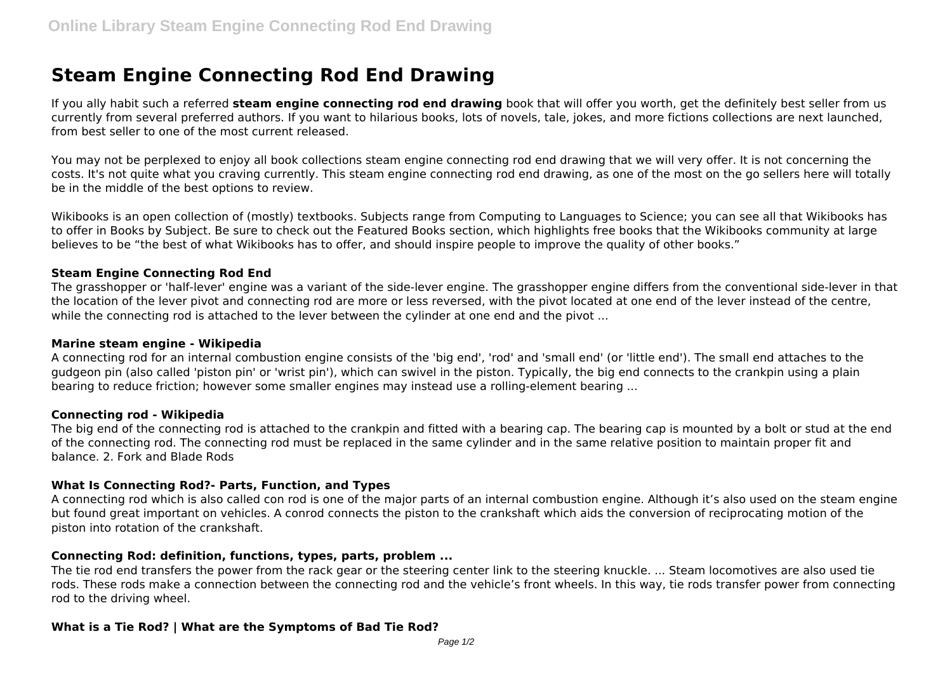# **Steam Engine Connecting Rod End Drawing**

If you ally habit such a referred **steam engine connecting rod end drawing** book that will offer you worth, get the definitely best seller from us currently from several preferred authors. If you want to hilarious books, lots of novels, tale, jokes, and more fictions collections are next launched, from best seller to one of the most current released.

You may not be perplexed to enjoy all book collections steam engine connecting rod end drawing that we will very offer. It is not concerning the costs. It's not quite what you craving currently. This steam engine connecting rod end drawing, as one of the most on the go sellers here will totally be in the middle of the best options to review.

Wikibooks is an open collection of (mostly) textbooks. Subjects range from Computing to Languages to Science; you can see all that Wikibooks has to offer in Books by Subject. Be sure to check out the Featured Books section, which highlights free books that the Wikibooks community at large believes to be "the best of what Wikibooks has to offer, and should inspire people to improve the quality of other books."

## **Steam Engine Connecting Rod End**

The grasshopper or 'half-lever' engine was a variant of the side-lever engine. The grasshopper engine differs from the conventional side-lever in that the location of the lever pivot and connecting rod are more or less reversed, with the pivot located at one end of the lever instead of the centre, while the connecting rod is attached to the lever between the cylinder at one end and the pivot ...

## **Marine steam engine - Wikipedia**

A connecting rod for an internal combustion engine consists of the 'big end', 'rod' and 'small end' (or 'little end'). The small end attaches to the gudgeon pin (also called 'piston pin' or 'wrist pin'), which can swivel in the piston. Typically, the big end connects to the crankpin using a plain bearing to reduce friction; however some smaller engines may instead use a rolling-element bearing ...

## **Connecting rod - Wikipedia**

The big end of the connecting rod is attached to the crankpin and fitted with a bearing cap. The bearing cap is mounted by a bolt or stud at the end of the connecting rod. The connecting rod must be replaced in the same cylinder and in the same relative position to maintain proper fit and balance. 2. Fork and Blade Rods

## **What Is Connecting Rod?- Parts, Function, and Types**

A connecting rod which is also called con rod is one of the major parts of an internal combustion engine. Although it's also used on the steam engine but found great important on vehicles. A conrod connects the piston to the crankshaft which aids the conversion of reciprocating motion of the piston into rotation of the crankshaft.

## **Connecting Rod: definition, functions, types, parts, problem ...**

The tie rod end transfers the power from the rack gear or the steering center link to the steering knuckle. ... Steam locomotives are also used tie rods. These rods make a connection between the connecting rod and the vehicle's front wheels. In this way, tie rods transfer power from connecting rod to the driving wheel.

## **What is a Tie Rod? | What are the Symptoms of Bad Tie Rod?**